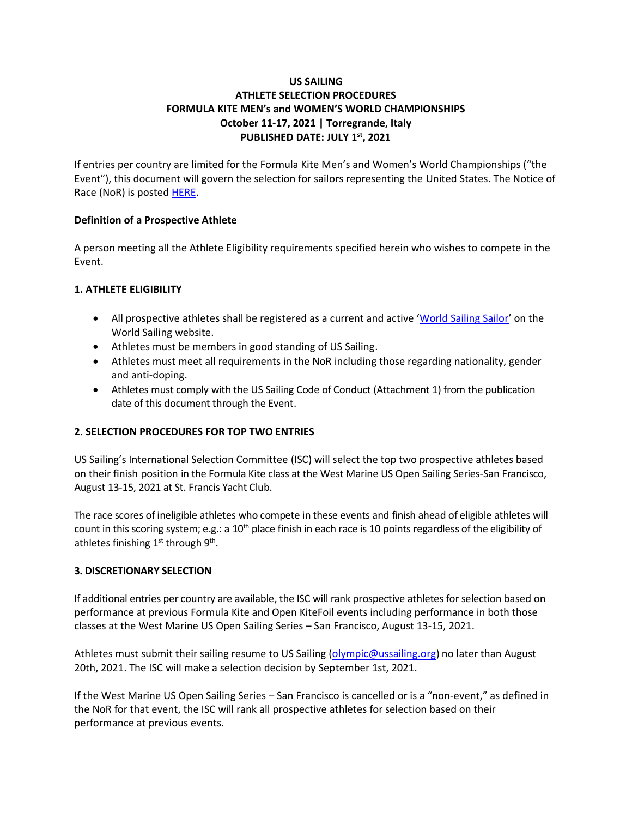## **US SAILING ATHLETE SELECTION PROCEDURES FORMULA KITE MEN's and WOMEN'S WORLD CHAMPIONSHIPS October 11-17, 2021 | Torregrande, Italy PUBLISHED DATE: JULY 1st, 2021**

If entries per country are limited for the Formula Kite Men's and Women's World Championships ("the Event"), this document will govern the selection for sailors representing the United States. The Notice of Race (NoR) is posted [HERE.](https://www.racingrulesofsailing.org/documents/2264/event?name=2021-formula-kite-world-championships)

### **Definition of a Prospective Athlete**

A person meeting all the Athlete Eligibility requirements specified herein who wishes to compete in the Event.

### **1. ATHLETE ELIGIBILITY**

- All prospective athletes shall be registered as a current and active '[World Sailing Sailor](https://www.sailing.org/isafsailor)' on the World Sailing website.
- Athletes must be members in good standing of US Sailing.
- Athletes must meet all requirements in the NoR including those regarding nationality, gender and anti-doping.
- Athletes must comply with the US Sailing Code of Conduct (Attachment 1) from the publication date of this document through the Event.

# **2. SELECTION PROCEDURES FOR TOP TWO ENTRIES**

US Sailing's International Selection Committee (ISC) will select the top two prospective athletes based on their finish position in the Formula Kite class at the West Marine US Open Sailing Series-San Francisco, August 13-15, 2021 at St. Francis Yacht Club.

The race scores of ineligible athletes who compete in these events and finish ahead of eligible athletes will count in this scoring system; e.g.: a  $10<sup>th</sup>$  place finish in each race is 10 points regardless of the eligibility of athletes finishing 1<sup>st</sup> through 9<sup>th</sup>.

### **3. DISCRETIONARY SELECTION**

If additional entries per country are available, the ISC will rank prospective athletes for selection based on performance at previous Formula Kite and Open KiteFoil events including performance in both those classes at the West Marine US Open Sailing Series – San Francisco, August 13-15, 2021.

Athletes must submit their sailing resume to US Sailing [\(olympic@ussailing.org\)](mailto:olympic@ussailing.org) no later than August 20th, 2021. The ISC will make a selection decision by September 1st, 2021.

If the West Marine US Open Sailing Series – San Francisco is cancelled or is a "non-event," as defined in the NoR for that event, the ISC will rank all prospective athletes for selection based on their performance at previous events.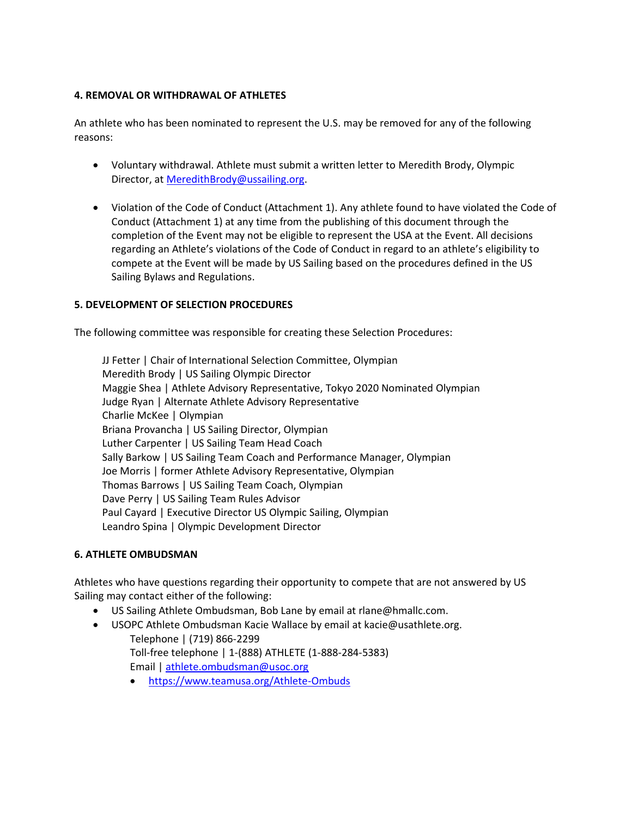### **4. REMOVAL OR WITHDRAWAL OF ATHLETES**

An athlete who has been nominated to represent the U.S. may be removed for any of the following reasons:

- Voluntary withdrawal. Athlete must submit a written letter to Meredith Brody, Olympic Director, at [MeredithBrody@ussailing.org.](mailto:meredithbrody@ussailing.org)
- Violation of the Code of Conduct (Attachment 1). Any athlete found to have violated the Code of Conduct (Attachment 1) at any time from the publishing of this document through the completion of the Event may not be eligible to represent the USA at the Event. All decisions regarding an Athlete's violations of the Code of Conduct in regard to an athlete's eligibility to compete at the Event will be made by US Sailing based on the procedures defined in the US Sailing Bylaws and Regulations.

### **5. DEVELOPMENT OF SELECTION PROCEDURES**

The following committee was responsible for creating these Selection Procedures:

JJ Fetter | Chair of International Selection Committee, Olympian Meredith Brody | US Sailing Olympic Director Maggie Shea | Athlete Advisory Representative, Tokyo 2020 Nominated Olympian Judge Ryan | Alternate Athlete Advisory Representative Charlie McKee | Olympian Briana Provancha | US Sailing Director, Olympian Luther Carpenter | US Sailing Team Head Coach Sally Barkow | US Sailing Team Coach and Performance Manager, Olympian Joe Morris | former Athlete Advisory Representative, Olympian Thomas Barrows | US Sailing Team Coach, Olympian Dave Perry | US Sailing Team Rules Advisor Paul Cayard | Executive Director US Olympic Sailing, Olympian Leandro Spina | Olympic Development Director

### **6. ATHLETE OMBUDSMAN**

Athletes who have questions regarding their opportunity to compete that are not answered by US Sailing may contact either of the following:

- US Sailing Athlete Ombudsman, Bob Lane by email at rlane@hmallc.com.
- USOPC Athlete Ombudsman Kacie Wallace by email at kacie@usathlete.org. Telephone | (719) 866-2299 Toll-free telephone | 1-(888) ATHLETE (1-888-284-5383) Email [| athlete.ombudsman@usoc.org](mailto:athlete.ombudsman@usoc.org)
	- <https://www.teamusa.org/Athlete-Ombuds>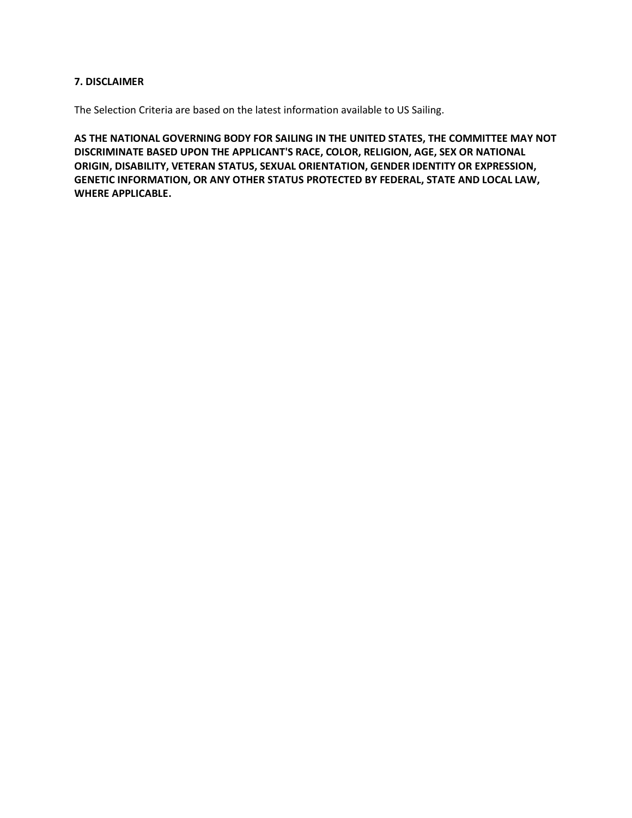#### **7. DISCLAIMER**

The Selection Criteria are based on the latest information available to US Sailing.

**AS THE NATIONAL GOVERNING BODY FOR SAILING IN THE UNITED STATES, THE COMMITTEE MAY NOT DISCRIMINATE BASED UPON THE APPLICANT'S RACE, COLOR, RELIGION, AGE, SEX OR NATIONAL ORIGIN, DISABILITY, VETERAN STATUS, SEXUAL ORIENTATION, GENDER IDENTITY OR EXPRESSION, GENETIC INFORMATION, OR ANY OTHER STATUS PROTECTED BY FEDERAL, STATE AND LOCAL LAW, WHERE APPLICABLE.**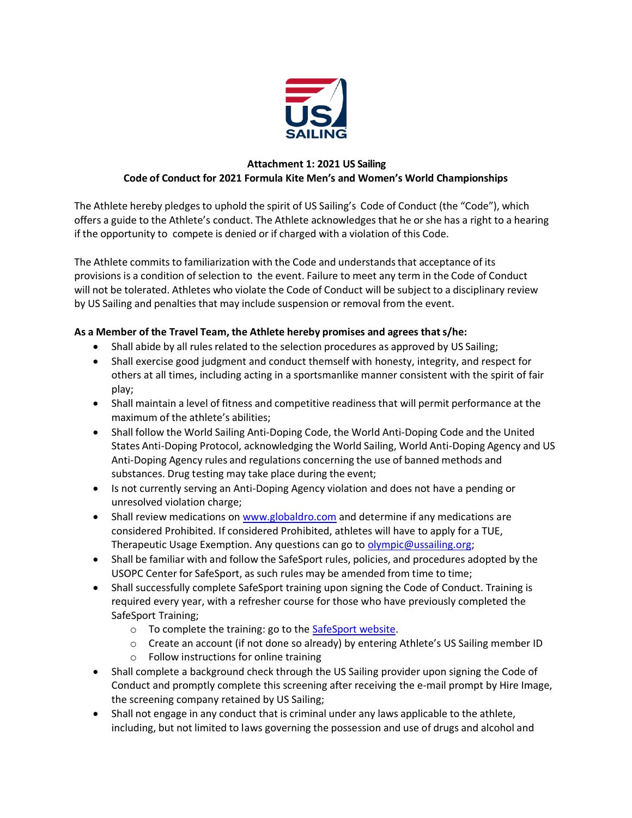

# **Attachment 1: 2021 US Sailing Code of Conduct for 2021 Formula Kite Men's and Women's World Championships**

The Athlete hereby pledgesto uphold the spirit of US Sailing's Code of Conduct (the "Code"), which offers a guide to the Athlete's conduct. The Athlete acknowledges that he or she has a right to a hearing if the opportunity to compete is denied or if charged with a violation of this Code.

The Athlete commits to familiarization with the Code and understandsthat acceptance of its provisions is a condition ofselection to the event. Failure to meet any term in the Code of Conduct will not be tolerated. Athletes who violate the Code of Conduct will be subject to a disciplinary review by US Sailing and penalties that may include suspension or removal from the event.

# **As a Member of the Travel Team, the Athlete hereby promises and agrees thats/he:**

- Shall abide by all rules related to the selection procedures as approved by US Sailing;
- Shall exercise good judgment and conduct themself with honesty, integrity, and respect for others at all times, including acting in a sportsmanlike manner consistent with the spirit of fair play;
- Shall maintain a level of fitness and competitive readiness that will permit performance at the maximum of the athlete's abilities;
- Shall follow the World Sailing Anti-Doping Code, the World Anti-Doping Code and the United States Anti-Doping Protocol, acknowledging the World Sailing, World Anti-Doping Agency and US Anti-Doping Agency rules and regulations concerning the use of banned methods and substances. Drug testing may take place during the event;
- Is not currently serving an Anti-Doping Agency violation and does not have a pending or unresolved violation charge;
- Shall review medications on [www.globaldro.com](http://www.globaldro.com/) and determine if any medications are considered Prohibited. If considered Prohibited, athletes will have to apply for a TUE, Therapeutic Usage Exemption. Any questions can go to *olympic@ussailing.org*;
- Shall be familiar with and follow the SafeSport rules, policies, and procedures adopted by the USOPC Center for SafeSport, as such rules may be amended from time to time;
- Shall successfully complete SafeSport training upon signing the Code of Conduct. Training is required every year, with a refresher course for those who have previously completed the SafeSport Training;
	- o To complete the training: go to the [SafeSport website.](file:///C:/Users/thomasmistele/Downloads/1.https:/safesport.org/authentication/register%3ftoken=9d8ee5fa-5241-4dd2-a606-199d2f21e097)
	- o Create an account (if not done so already) by entering Athlete's US Sailing member ID
	- o Follow instructions for online training
- Shall complete a background check through the US Sailing provider upon signing the Code of Conduct and promptly complete this screening after receiving the e-mail prompt by Hire Image, the screening company retained by US Sailing;
- Shall not engage in any conduct that is criminal under any laws applicable to the athlete, including, but not limited to laws governing the possession and use of drugs and alcohol and